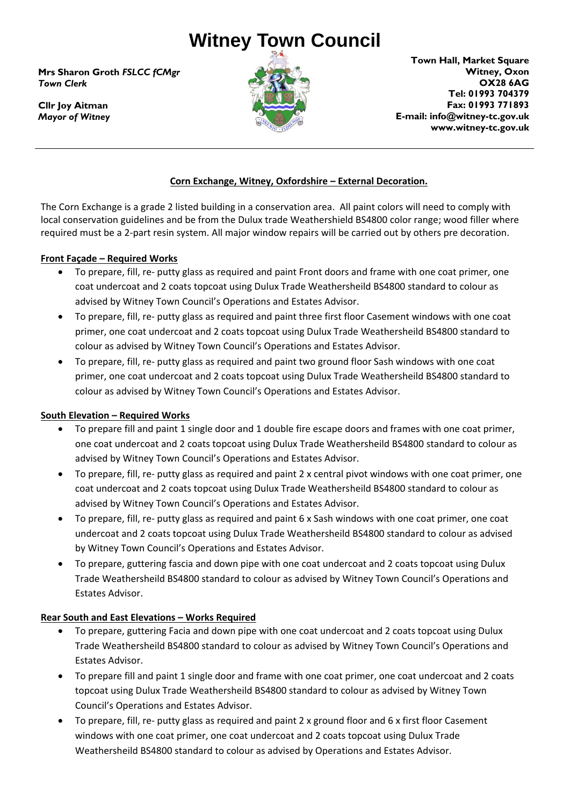# **Witney Town Council**

**Mrs Sharon Groth** *FSLCC fCMgr Town Clerk*

**Cllr Joy Aitman** *Mayor of Witney*



**Town Hall, Market Square Witney, Oxon OX28 6AG Tel: 01993 704379 Fax: 01993 771893 E-mail: info@witney-tc.gov.uk www.witney-tc.gov.uk**

# **Corn Exchange, Witney, Oxfordshire – External Decoration.**

The Corn Exchange is a grade 2 listed building in a conservation area. All paint colors will need to comply with local conservation guidelines and be from the Dulux trade Weathershield BS4800 color range; wood filler where required must be a 2-part resin system. All major window repairs will be carried out by others pre decoration.

#### **Front Façade – Required Works**

- To prepare, fill, re- putty glass as required and paint Front doors and frame with one coat primer, one coat undercoat and 2 coats topcoat using Dulux Trade Weathersheild BS4800 standard to colour as advised by Witney Town Council's Operations and Estates Advisor.
- To prepare, fill, re- putty glass as required and paint three first floor Casement windows with one coat primer, one coat undercoat and 2 coats topcoat using Dulux Trade Weathersheild BS4800 standard to colour as advised by Witney Town Council's Operations and Estates Advisor.
- To prepare, fill, re- putty glass as required and paint two ground floor Sash windows with one coat primer, one coat undercoat and 2 coats topcoat using Dulux Trade Weathersheild BS4800 standard to colour as advised by Witney Town Council's Operations and Estates Advisor.

## **South Elevation – Required Works**

- To prepare fill and paint 1 single door and 1 double fire escape doors and frames with one coat primer, one coat undercoat and 2 coats topcoat using Dulux Trade Weathersheild BS4800 standard to colour as advised by Witney Town Council's Operations and Estates Advisor.
- To prepare, fill, re- putty glass as required and paint 2 x central pivot windows with one coat primer, one coat undercoat and 2 coats topcoat using Dulux Trade Weathersheild BS4800 standard to colour as advised by Witney Town Council's Operations and Estates Advisor.
- To prepare, fill, re- putty glass as required and paint 6 x Sash windows with one coat primer, one coat undercoat and 2 coats topcoat using Dulux Trade Weathersheild BS4800 standard to colour as advised by Witney Town Council's Operations and Estates Advisor.
- To prepare, guttering fascia and down pipe with one coat undercoat and 2 coats topcoat using Dulux Trade Weathersheild BS4800 standard to colour as advised by Witney Town Council's Operations and Estates Advisor.

## **Rear South and East Elevations – Works Required**

- To prepare, guttering Facia and down pipe with one coat undercoat and 2 coats topcoat using Dulux Trade Weathersheild BS4800 standard to colour as advised by Witney Town Council's Operations and Estates Advisor.
- To prepare fill and paint 1 single door and frame with one coat primer, one coat undercoat and 2 coats topcoat using Dulux Trade Weathersheild BS4800 standard to colour as advised by Witney Town Council's Operations and Estates Advisor.
- To prepare, fill, re- putty glass as required and paint 2 x ground floor and 6 x first floor Casement windows with one coat primer, one coat undercoat and 2 coats topcoat using Dulux Trade Weathersheild BS4800 standard to colour as advised by Operations and Estates Advisor.